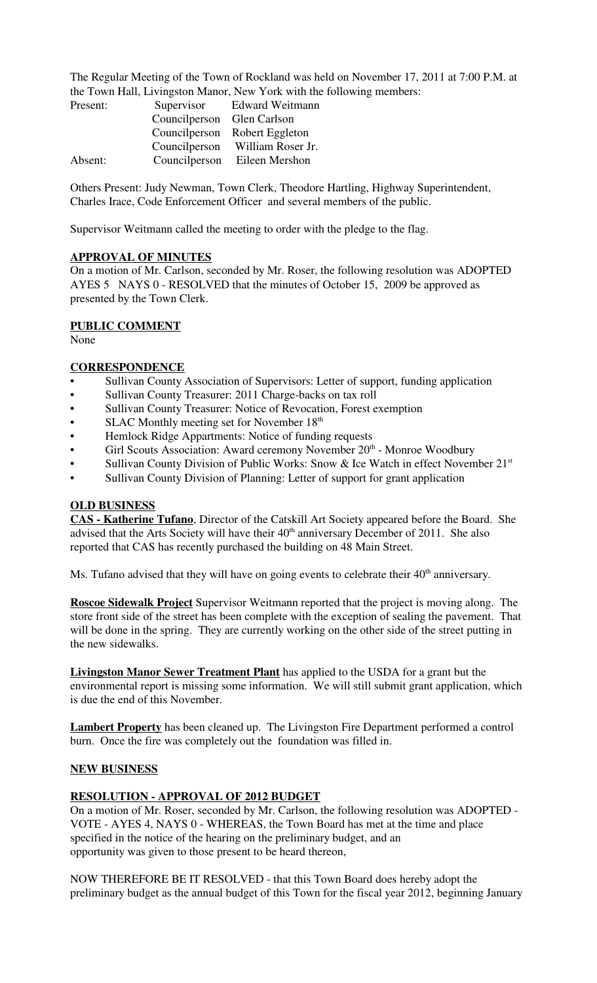The Regular Meeting of the Town of Rockland was held on November 17, 2011 at 7:00 P.M. at the Town Hall, Livingston Manor, New York with the following members:

| Present: | Supervisor                 | Edward Weitmann               |
|----------|----------------------------|-------------------------------|
|          | Councilperson Glen Carlson |                               |
|          |                            | Councilperson Robert Eggleton |
|          | Councilperson              | William Roser Jr.             |
| Absent:  | Councilperson              | Eileen Mershon                |

Others Present: Judy Newman, Town Clerk, Theodore Hartling, Highway Superintendent, Charles Irace, Code Enforcement Officer and several members of the public.

Supervisor Weitmann called the meeting to order with the pledge to the flag.

### **APPROVAL OF MINUTES**

On a motion of Mr. Carlson, seconded by Mr. Roser, the following resolution was ADOPTED AYES 5 NAYS 0 - RESOLVED that the minutes of October 15, 2009 be approved as presented by the Town Clerk.

### **PUBLIC COMMENT**

None

### **CORRESPONDENCE**

- Sullivan County Association of Supervisors: Letter of support, funding application
- Sullivan County Treasurer: 2011 Charge-backs on tax roll
- Sullivan County Treasurer: Notice of Revocation, Forest exemption
- SLAC Monthly meeting set for November  $18<sup>th</sup>$
- Hemlock Ridge Appartments: Notice of funding requests
- Girl Scouts Association: Award ceremony November 20<sup>th</sup> Monroe Woodbury
- Sullivan County Division of Public Works: Snow & Ice Watch in effect November 21<sup>st</sup>
- Sullivan County Division of Planning: Letter of support for grant application

### **OLD BUSINESS**

**CAS - Katherine Tufano**, Director of the Catskill Art Society appeared before the Board. She advised that the Arts Society will have their  $40<sup>th</sup>$  anniversary December of 2011. She also reported that CAS has recently purchased the building on 48 Main Street.

Ms. Tufano advised that they will have on going events to celebrate their  $40<sup>th</sup>$  anniversary.

**Roscoe Sidewalk Project** Supervisor Weitmann reported that the project is moving along. The store front side of the street has been complete with the exception of sealing the pavement. That will be done in the spring. They are currently working on the other side of the street putting in the new sidewalks.

**Livingston Manor Sewer Treatment Plant** has applied to the USDA for a grant but the environmental report is missing some information. We will still submit grant application, which is due the end of this November.

**Lambert Property** has been cleaned up. The Livingston Fire Department performed a control burn. Once the fire was completely out the foundation was filled in.

### **NEW BUSINESS**

### **RESOLUTION - APPROVAL OF 2012 BUDGET**

On a motion of Mr. Roser, seconded by Mr. Carlson, the following resolution was ADOPTED - VOTE - AYES 4, NAYS 0 - WHEREAS, the Town Board has met at the time and place specified in the notice of the hearing on the preliminary budget, and an opportunity was given to those present to be heard thereon,

NOW THEREFORE BE IT RESOLVED - that this Town Board does hereby adopt the preliminary budget as the annual budget of this Town for the fiscal year 2012, beginning January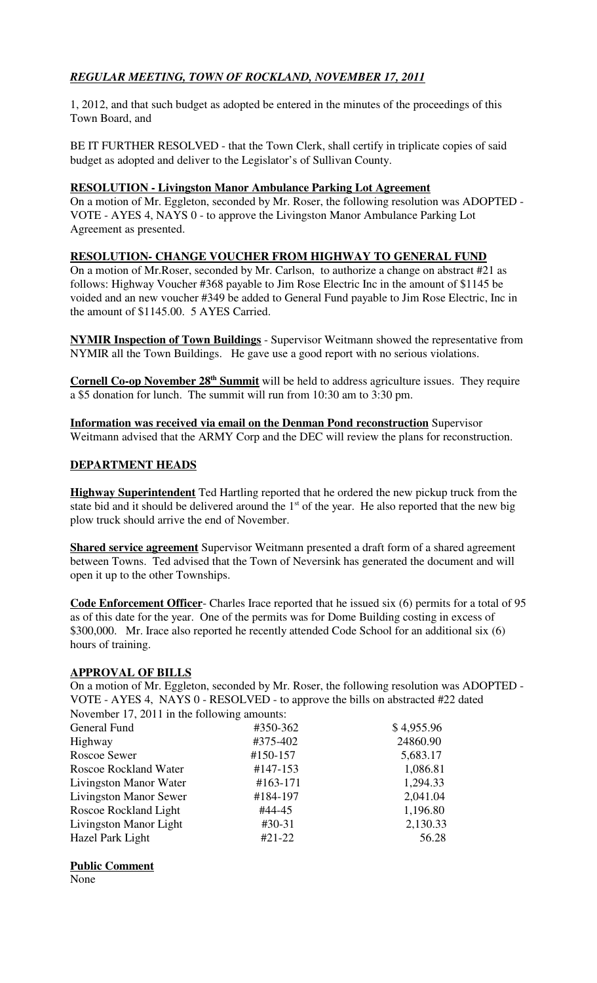# *REGULAR MEETING, TOWN OF ROCKLAND, NOVEMBER 17, 2011*

1, 2012, and that such budget as adopted be entered in the minutes of the proceedings of this Town Board, and

BE IT FURTHER RESOLVED - that the Town Clerk, shall certify in triplicate copies of said budget as adopted and deliver to the Legislator's of Sullivan County.

### **RESOLUTION - Livingston Manor Ambulance Parking Lot Agreement**

On a motion of Mr. Eggleton, seconded by Mr. Roser, the following resolution was ADOPTED - VOTE - AYES 4, NAYS 0 - to approve the Livingston Manor Ambulance Parking Lot Agreement as presented.

### **RESOLUTION- CHANGE VOUCHER FROM HIGHWAY TO GENERAL FUND**

On a motion of Mr.Roser, seconded by Mr. Carlson, to authorize a change on abstract #21 as follows: Highway Voucher #368 payable to Jim Rose Electric Inc in the amount of \$1145 be voided and an new voucher #349 be added to General Fund payable to Jim Rose Electric, Inc in the amount of \$1145.00. 5 AYES Carried.

**NYMIR Inspection of Town Buildings** - Supervisor Weitmann showed the representative from NYMIR all the Town Buildings. He gave use a good report with no serious violations.

**Cornell Co-op November 28<sup>th</sup> Summit** will be held to address agriculture issues. They require a \$5 donation for lunch. The summit will run from 10:30 am to 3:30 pm.

**Information was received via email on the Denman Pond reconstruction** Supervisor Weitmann advised that the ARMY Corp and the DEC will review the plans for reconstruction.

### **DEPARTMENT HEADS**

**Highway Superintendent** Ted Hartling reported that he ordered the new pickup truck from the state bid and it should be delivered around the  $1<sup>st</sup>$  of the year. He also reported that the new big plow truck should arrive the end of November.

**Shared service agreement** Supervisor Weitmann presented a draft form of a shared agreement between Towns. Ted advised that the Town of Neversink has generated the document and will open it up to the other Townships.

**Code Enforcement Officer**- Charles Irace reported that he issued six (6) permits for a total of 95 as of this date for the year. One of the permits was for Dome Building costing in excess of \$300,000. Mr. Irace also reported he recently attended Code School for an additional six (6) hours of training.

### **APPROVAL OF BILLS**

On a motion of Mr. Eggleton, seconded by Mr. Roser, the following resolution was ADOPTED - VOTE - AYES 4, NAYS 0 - RESOLVED - to approve the bills on abstracted #22 dated November 17, 2011 in the following amounts:

| $1.01$ concerning $2011$ and the TOTIO Willig dimediately. |            |            |
|------------------------------------------------------------|------------|------------|
| General Fund                                               | #350-362   | \$4,955.96 |
| Highway                                                    | #375-402   | 24860.90   |
| Roscoe Sewer                                               | #150-157   | 5,683.17   |
| <b>Roscoe Rockland Water</b>                               | #147-153   | 1,086.81   |
| Livingston Manor Water                                     | $#163-171$ | 1,294.33   |
| <b>Livingston Manor Sewer</b>                              | #184-197   | 2,041.04   |
| Roscoe Rockland Light                                      | #44-45     | 1,196.80   |
| Livingston Manor Light                                     | $#30-31$   | 2,130.33   |
| Hazel Park Light                                           | $#21-22$   | 56.28      |
|                                                            |            |            |

### **Public Comment**

None